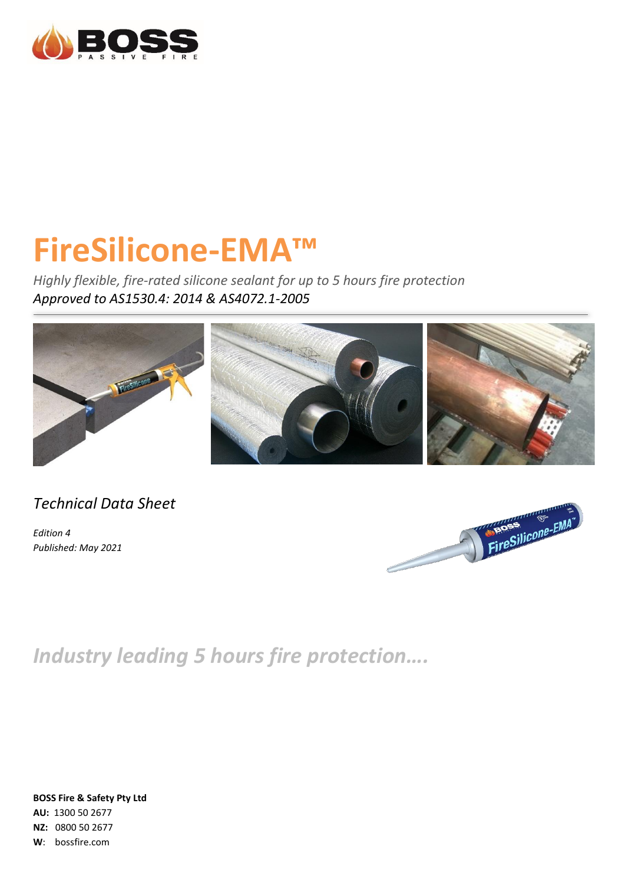

# **FireSilicone-EMA™**

*Highly flexible, fire-rated silicone sealant for up to 5 hours fire protection Approved to AS1530.4: 2014 & AS4072.1-2005*



*Technical Data Sheet*

*Edition 4 Published: May 2021*



*Industry leading 5 hours fire protection….*

**BOSS Fire & Safety Pty Ltd AU:** 1300 50 2677 **NZ:** 0800 50 2677 **W**: bossfire.com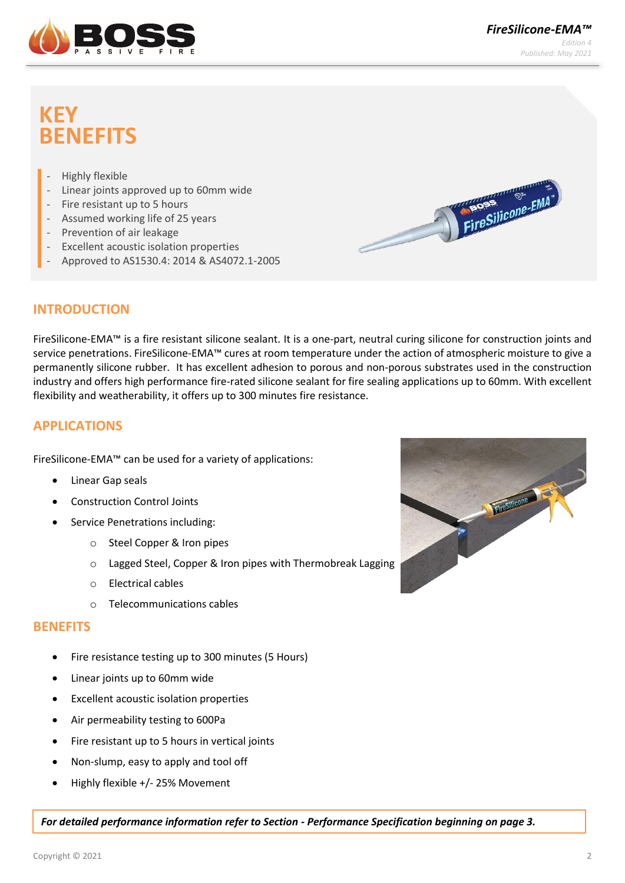

# **KEY BENEFITS**

#### - Highly flexible

- Linear joints approved up to 60mm wide
- Fire resistant up to 5 hours
- Assumed working life of 25 years
- **Prevention of air leakage**
- Excellent acoustic isolation properties
- Approved to AS1530.4: 2014 & AS4072.1-2005



# **INTRODUCTION**

FireSilicone-EMA™ is a fire resistant silicone sealant. It is a one-part, neutral curing silicone for construction joints and service penetrations. FireSilicone-EMA™ cures at room temperature under the action of atmospheric moisture to give a permanently silicone rubber. It has excellent adhesion to porous and non-porous substrates used in the construction industry and offers high performance fire-rated silicone sealant for fire sealing applications up to 60mm. With excellent flexibility and weatherability, it offers up to 300 minutes fire resistance.

# **APPLICATIONS**

FireSilicone-EMA™ can be used for a variety of applications:

- Linear Gap seals
- Construction Control Joints
- Service Penetrations including:
	- o Steel Copper & Iron pipes
	- o Lagged Steel, Copper & Iron pipes with Thermobreak Lagging
	- o Electrical cables
	- o Telecommunications cables

# **BENEFITS**

- Fire resistance testing up to 300 minutes (5 Hours)
- Linear joints up to 60mm wide
- Excellent acoustic isolation properties
- Air permeability testing to 600Pa
- Fire resistant up to 5 hours in vertical joints
- Non-slump, easy to apply and tool off
- Highly flexible +/- 25% Movement



*For detailed performance information refer to Section - Performance Specification beginning on page 3.*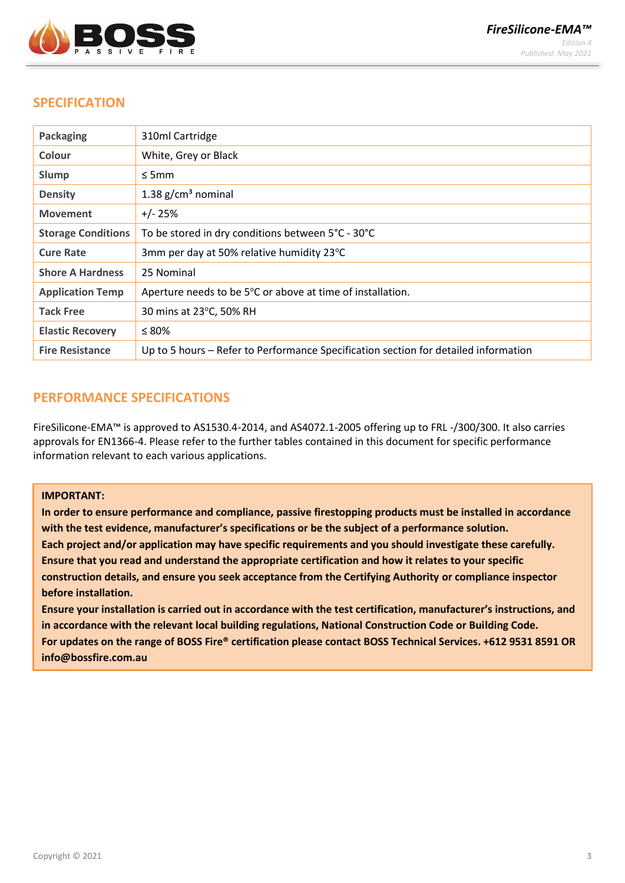

# **SPECIFICATION**

| <b>Packaging</b>          | 310ml Cartridge                                                                     |
|---------------------------|-------------------------------------------------------------------------------------|
| Colour                    | White, Grey or Black                                                                |
| Slump                     | $\leq$ 5mm                                                                          |
| <b>Density</b>            | 1.38 $g/cm3$ nominal                                                                |
| <b>Movement</b>           | $+/- 25%$                                                                           |
| <b>Storage Conditions</b> | To be stored in dry conditions between 5°C - 30°C                                   |
| <b>Cure Rate</b>          | 3mm per day at 50% relative humidity 23°C                                           |
| <b>Shore A Hardness</b>   | 25 Nominal                                                                          |
| <b>Application Temp</b>   | Aperture needs to be 5°C or above at time of installation.                          |
| <b>Tack Free</b>          | 30 mins at 23°C, 50% RH                                                             |
| <b>Elastic Recovery</b>   | $\leq 80\%$                                                                         |
| <b>Fire Resistance</b>    | Up to 5 hours - Refer to Performance Specification section for detailed information |

# **PERFORMANCE SPECIFICATIONS**

FireSilicone-EMA™ is approved to AS1530.4-2014, and AS4072.1-2005 offering up to FRL -/300/300. It also carries approvals for EN1366-4. Please refer to the further tables contained in this document for specific performance information relevant to each various applications.

#### **IMPORTANT:**

**In order to ensure performance and compliance, passive firestopping products must be installed in accordance with the test evidence, manufacturer's specifications or be the subject of a performance solution. Each project and/or application may have specific requirements and you should investigate these carefully. Ensure that you read and understand the appropriate certification and how it relates to your specific construction details, and ensure you seek acceptance from the Certifying Authority or compliance inspector before installation.** 

**Ensure your installation is carried out in accordance with the test certification, manufacturer's instructions, and in accordance with the relevant local building regulations, National Construction Code or Building Code. For updates on the range of BOSS Fire® certification please contact BOSS Technical Services. +612 9531 8591 OR [info@bossfire.com.au](mailto:info@bossfire.com.au)**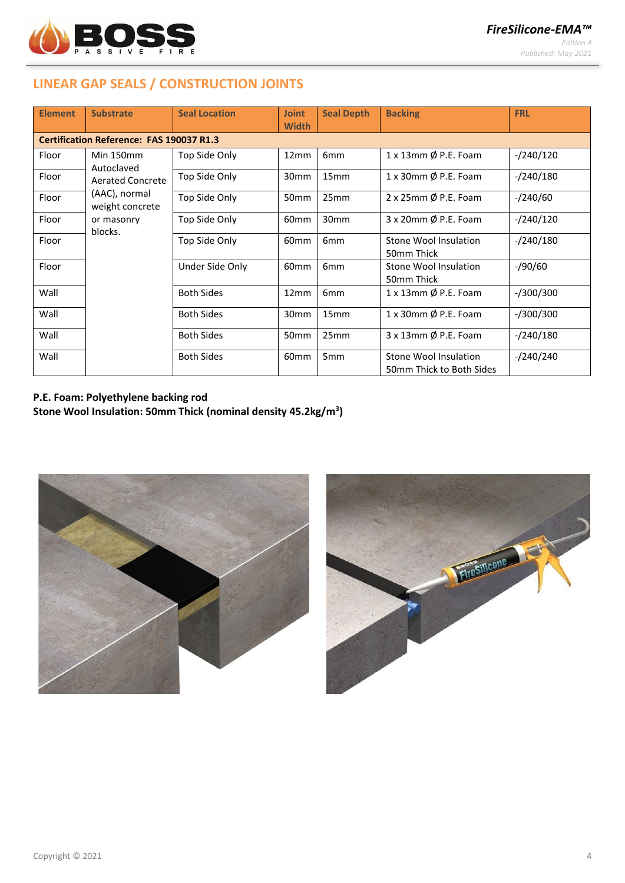

# **LINEAR GAP SEALS / CONSTRUCTION JOINTS**

| <b>Element</b>                                  | <b>Substrate</b>                 | <b>Seal Location</b> | <b>Joint</b><br><b>Width</b> | <b>Seal Depth</b> | <b>Backing</b>                                    | <b>FRL</b>   |  |  |  |  |
|-------------------------------------------------|----------------------------------|----------------------|------------------------------|-------------------|---------------------------------------------------|--------------|--|--|--|--|
| <b>Certification Reference: FAS 190037 R1.3</b> |                                  |                      |                              |                   |                                                   |              |  |  |  |  |
| Floor                                           | Min 150mm<br>Autoclaved          | Top Side Only        | 12mm                         | 6 <sub>mm</sub>   | $1 \times 13$ mm $\emptyset$ P.E. Foam            | $-240/120$   |  |  |  |  |
| Floor                                           | <b>Aerated Concrete</b>          | Top Side Only        | 30mm                         | 15 <sub>mm</sub>  | $1 \times 30$ mm Ø P.E. Foam                      | $-$ /240/180 |  |  |  |  |
| Floor                                           | (AAC), normal<br>weight concrete | Top Side Only        | 50mm                         | 25mm              | $2 \times 25$ mm $\emptyset$ P.E. Foam            | $-240/60$    |  |  |  |  |
| Floor                                           | or masonry<br>blocks.            | Top Side Only        | 60 <sub>mm</sub>             | 30mm              | $3 \times 20$ mm $\emptyset$ P.E. Foam            | $-$ /240/120 |  |  |  |  |
| Floor                                           |                                  | Top Side Only        | 60mm                         | 6 <sub>mm</sub>   | Stone Wool Insulation<br>50mm Thick               | $-$ /240/180 |  |  |  |  |
| Floor                                           |                                  | Under Side Only      | 60mm                         | 6 <sub>mm</sub>   | Stone Wool Insulation<br>50mm Thick               | $-$ /90/60   |  |  |  |  |
| Wall                                            |                                  | <b>Both Sides</b>    | 12mm                         | 6 <sub>mm</sub>   | $1 \times 13$ mm $\emptyset$ P.E. Foam            | $-$ /300/300 |  |  |  |  |
| Wall                                            |                                  | <b>Both Sides</b>    |                              | 15 <sub>mm</sub>  | $1 \times 30$ mm $\emptyset$ P.E. Foam            | $-$ /300/300 |  |  |  |  |
| Wall                                            |                                  | <b>Both Sides</b>    | 50 <sub>mm</sub>             | 25mm              | $3 \times 13$ mm $\emptyset$ P.E. Foam            | $-$ /240/180 |  |  |  |  |
| Wall                                            |                                  | <b>Both Sides</b>    | 60 <sub>mm</sub>             | 5 <sub>mm</sub>   | Stone Wool Insulation<br>50mm Thick to Both Sides | $-240/240$   |  |  |  |  |

# **P.E. Foam: Polyethylene backing rod**

**Stone Wool Insulation: 50mm Thick (nominal density 45.2kg/m<sup>3</sup> )**



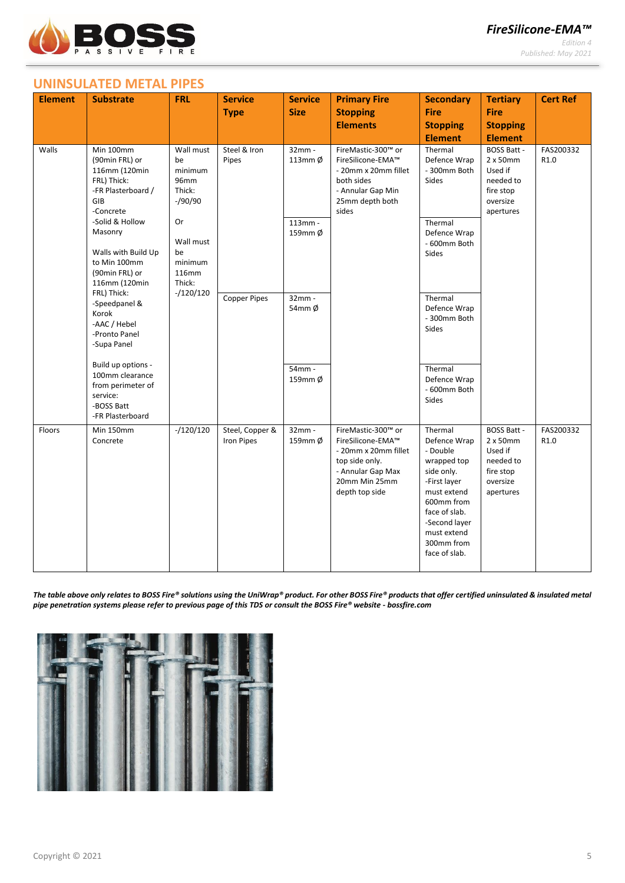

*Edition 4 Published: May 2021*

#### **UNINSULATED METAL PIPES**

| <b>Element</b> | <b>Substrate</b>                                                                                                                                                                                                                                                                                       | <b>FRL</b>                                                                                                                       | <b>Service</b>                               | <b>Service</b>                                                     | <b>Primary Fire</b>                                                                                                                       | <b>Secondary</b>                                                                                                                                                                              | <b>Tertiary</b>                                                                              | <b>Cert Ref</b>   |
|----------------|--------------------------------------------------------------------------------------------------------------------------------------------------------------------------------------------------------------------------------------------------------------------------------------------------------|----------------------------------------------------------------------------------------------------------------------------------|----------------------------------------------|--------------------------------------------------------------------|-------------------------------------------------------------------------------------------------------------------------------------------|-----------------------------------------------------------------------------------------------------------------------------------------------------------------------------------------------|----------------------------------------------------------------------------------------------|-------------------|
|                |                                                                                                                                                                                                                                                                                                        |                                                                                                                                  | <b>Type</b>                                  | <b>Size</b>                                                        | <b>Stopping</b>                                                                                                                           | <b>Fire</b>                                                                                                                                                                                   | <b>Fire</b>                                                                                  |                   |
|                |                                                                                                                                                                                                                                                                                                        |                                                                                                                                  |                                              |                                                                    | <b>Elements</b>                                                                                                                           | <b>Stopping</b>                                                                                                                                                                               | <b>Stopping</b>                                                                              |                   |
|                |                                                                                                                                                                                                                                                                                                        |                                                                                                                                  |                                              |                                                                    |                                                                                                                                           | <b>Element</b>                                                                                                                                                                                | <b>Element</b>                                                                               |                   |
| Walls          | Min 100mm<br>(90min FRL) or<br>116mm (120min<br>FRL) Thick:<br>-FR Plasterboard /<br>GIB<br>-Concrete<br>-Solid & Hollow<br>Masonry<br>Walls with Build Up<br>to Min 100mm<br>(90min FRL) or<br>116mm (120min<br>FRL) Thick:<br>-Speedpanel &<br>Korok<br>-AAC / Hebel<br>-Pronto Panel<br>-Supa Panel | Wall must<br>be<br>minimum<br>96mm<br>Thick:<br>$-$ /90/90<br>Or<br>Wall must<br>be<br>minimum<br>116mm<br>Thick:<br>$-/120/120$ | Steel & Iron<br>Pipes<br><b>Copper Pipes</b> | 32mm -<br>113mm $\phi$<br>113mm -<br>159mm Ø<br>$32mm -$<br>54mm Ø | FireMastic-300™ or<br>FireSilicone-EMA™<br>- 20mm x 20mm fillet<br>both sides<br>- Annular Gap Min<br>25mm depth both<br>sides            | Thermal<br>Defence Wrap<br>- 300mm Both<br>Sides<br>Thermal<br>Defence Wrap<br>- 600mm Both<br>Sides<br>Thermal<br>Defence Wrap<br>- 300mm Both<br>Sides                                      | <b>BOSS Batt -</b><br>2 x 50mm<br>Used if<br>needed to<br>fire stop<br>oversize<br>apertures | FAS200332<br>R1.0 |
|                | Build up options -<br>100mm clearance<br>from perimeter of<br>service:<br>-BOSS Batt<br>-FR Plasterboard                                                                                                                                                                                               |                                                                                                                                  |                                              | 54mm -<br>159mm Ø                                                  |                                                                                                                                           | Thermal<br>Defence Wrap<br>- 600mm Both<br>Sides                                                                                                                                              |                                                                                              |                   |
| Floors         | Min 150mm<br>Concrete                                                                                                                                                                                                                                                                                  | $-/120/120$                                                                                                                      | Steel, Copper &<br><b>Iron Pipes</b>         | 32mm -<br>159mm Ø                                                  | FireMastic-300™ or<br>FireSilicone-EMA™<br>- 20mm x 20mm fillet<br>top side only.<br>- Annular Gap Max<br>20mm Min 25mm<br>depth top side | Thermal<br>Defence Wrap<br>- Double<br>wrapped top<br>side only.<br>-First layer<br>must extend<br>600mm from<br>face of slab.<br>-Second layer<br>must extend<br>300mm from<br>face of slab. | <b>BOSS Batt -</b><br>2 x 50mm<br>Used if<br>needed to<br>fire stop<br>oversize<br>apertures | FAS200332<br>R1.0 |

*The table above only relates to BOSS Fire® solutions using the UniWrap® product. For other BOSS Fire® products that offer certified uninsulated & insulated metal pipe penetration systems please refer to previous page of this TDS or consult the BOSS Fire® website - bossfire.com*

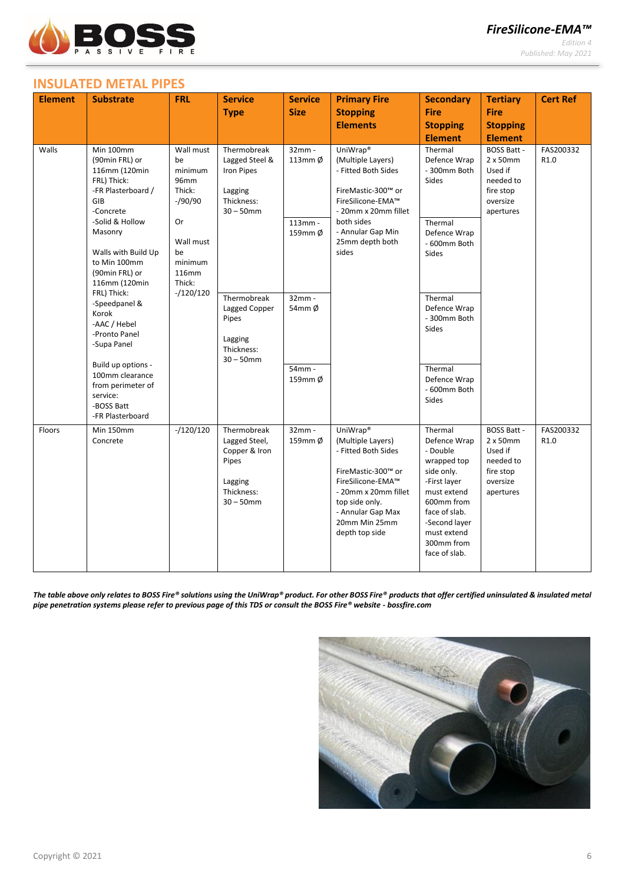

*Edition 4 Published: May 2021*

#### **INSULATED METAL PIPES**

| <b>Element</b> | <b>Substrate</b>                                                                                                                                                                                                                                                                                                             | <b>FRL</b>                                                                                                                       | <b>Service</b><br><b>Type</b>                                                                                                                                          | <b>Service</b><br><b>Size</b>                                                         | <b>Primary Fire</b><br><b>Stopping</b>                                                                                                                                                                        | <b>Secondary</b><br><b>Fire</b>                                                                                                                                                               | <b>Tertiary</b><br><b>Fire</b>                                                             | <b>Cert Ref</b>               |
|----------------|------------------------------------------------------------------------------------------------------------------------------------------------------------------------------------------------------------------------------------------------------------------------------------------------------------------------------|----------------------------------------------------------------------------------------------------------------------------------|------------------------------------------------------------------------------------------------------------------------------------------------------------------------|---------------------------------------------------------------------------------------|---------------------------------------------------------------------------------------------------------------------------------------------------------------------------------------------------------------|-----------------------------------------------------------------------------------------------------------------------------------------------------------------------------------------------|--------------------------------------------------------------------------------------------|-------------------------------|
|                |                                                                                                                                                                                                                                                                                                                              |                                                                                                                                  |                                                                                                                                                                        |                                                                                       | <b>Elements</b>                                                                                                                                                                                               | <b>Stopping</b><br><b>Element</b>                                                                                                                                                             | <b>Stopping</b><br><b>Element</b>                                                          |                               |
| Walls          | Min 100mm<br>(90min FRL) or<br>116mm (120min<br>FRL) Thick:<br>-FR Plasterboard /<br>GIB<br>-Concrete<br>-Solid & Hollow<br>Masonry<br>Walls with Build Up<br>to Min 100mm<br>(90min FRL) or<br>116mm (120min<br>FRL) Thick:<br>-Speedpanel &<br>Korok<br>-AAC / Hebel<br>-Pronto Panel<br>-Supa Panel<br>Build up options - | Wall must<br>be<br>minimum<br>96mm<br>Thick:<br>$-$ /90/90<br>0r<br>Wall must<br>be<br>minimum<br>116mm<br>Thick:<br>$-/120/120$ | Thermobreak<br>Lagged Steel &<br>Iron Pipes<br>Lagging<br>Thickness:<br>$30 - 50$ mm<br>Thermobreak<br>Lagged Copper<br>Pipes<br>Lagging<br>Thickness:<br>$30 - 50$ mm | 32mm -<br>113mm $\phi$<br>113mm -<br>159mm Ø<br>32mm -<br>54mm Ø<br>54mm -<br>159mm Ø | UniWrap <sup>®</sup><br>(Multiple Layers)<br>- Fitted Both Sides<br>FireMastic-300™ or<br>FireSilicone-EMA™<br>- 20mm x 20mm fillet<br>both sides<br>- Annular Gap Min<br>25mm depth both<br>sides            | Thermal<br>Defence Wrap<br>- 300mm Both<br>Sides<br>Thermal<br>Defence Wrap<br>- 600mm Both<br>Sides<br>Thermal<br>Defence Wrap<br>- 300mm Both<br><b>Sides</b><br>Thermal                    | <b>BOSS Batt -</b><br>2x50mm<br>Used if<br>needed to<br>fire stop<br>oversize<br>apertures | FAS200332<br>R1.0             |
|                | 100mm clearance<br>from perimeter of<br>service:<br>-BOSS Batt<br>-FR Plasterboard                                                                                                                                                                                                                                           |                                                                                                                                  |                                                                                                                                                                        |                                                                                       |                                                                                                                                                                                                               | Defence Wrap<br>- 600mm Both<br>Sides                                                                                                                                                         |                                                                                            |                               |
| Floors         | Min 150mm<br>Concrete                                                                                                                                                                                                                                                                                                        | $-/120/120$                                                                                                                      | Thermobreak<br>Lagged Steel,<br>Copper & Iron<br>Pipes<br>Lagging<br>Thickness:<br>$30 - 50$ mm                                                                        | $32mm -$<br>159mm Ø                                                                   | UniWrap <sup>®</sup><br>(Multiple Layers)<br>- Fitted Both Sides<br>FireMastic-300™ or<br>FireSilicone-EMA™<br>- 20mm x 20mm fillet<br>top side only.<br>- Annular Gap Max<br>20mm Min 25mm<br>depth top side | Thermal<br>Defence Wrap<br>- Double<br>wrapped top<br>side only.<br>-First layer<br>must extend<br>600mm from<br>face of slab.<br>-Second layer<br>must extend<br>300mm from<br>face of slab. | <b>BOSS Batt -</b><br>2x50mm<br>Used if<br>needed to<br>fire stop<br>oversize<br>apertures | FAS200332<br>R <sub>1.0</sub> |

*The table above only relates to BOSS Fire® solutions using the UniWrap® product. For other BOSS Fire® products that offer certified uninsulated & insulated metal pipe penetration systems please refer to previous page of this TDS or consult the BOSS Fire® website - bossfire.com*

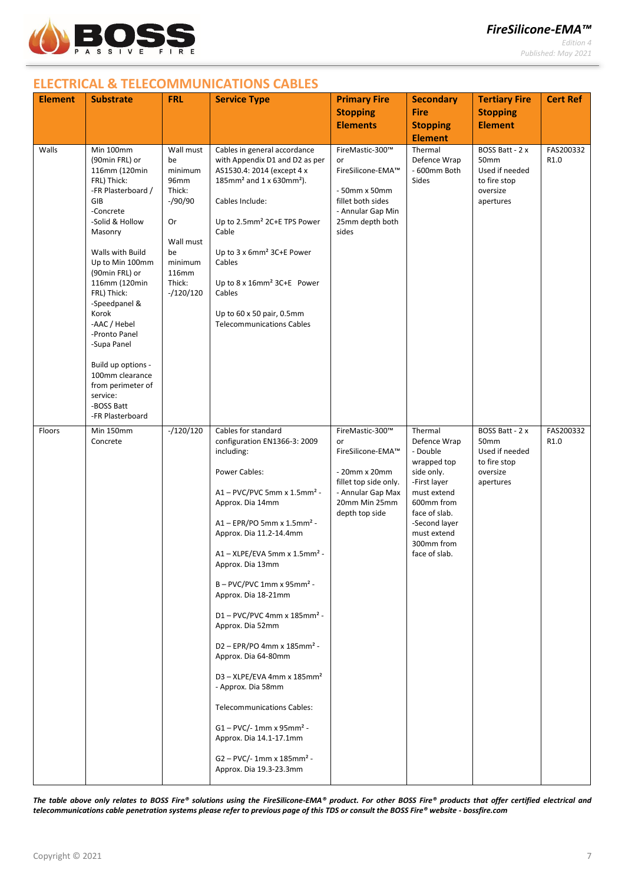

*Edition 4 Published: May 2021*

# **ELECTRICAL & TELECOMMUNICATIONS CABLES**

| <b>Element</b> | <b>Substrate</b>                                                                                                                                                                                                                                                                                                                                                                                                   | <b>FRL</b>                                                                                                                       | <b>Service Type</b>                                                                                                                                                                                                                                                                                                                                                                                                                                                                                                                                                                                                                                                                                                | <b>Primary Fire</b><br><b>Stopping</b><br><b>Elements</b>                                                                                    | <b>Secondary</b><br><b>Fire</b><br><b>Stopping</b><br><b>Element</b>                                                                                                                          | <b>Tertiary Fire</b><br><b>Stopping</b><br><b>Element</b>                                      | <b>Cert Ref</b>               |
|----------------|--------------------------------------------------------------------------------------------------------------------------------------------------------------------------------------------------------------------------------------------------------------------------------------------------------------------------------------------------------------------------------------------------------------------|----------------------------------------------------------------------------------------------------------------------------------|--------------------------------------------------------------------------------------------------------------------------------------------------------------------------------------------------------------------------------------------------------------------------------------------------------------------------------------------------------------------------------------------------------------------------------------------------------------------------------------------------------------------------------------------------------------------------------------------------------------------------------------------------------------------------------------------------------------------|----------------------------------------------------------------------------------------------------------------------------------------------|-----------------------------------------------------------------------------------------------------------------------------------------------------------------------------------------------|------------------------------------------------------------------------------------------------|-------------------------------|
| Walls          | Min 100mm<br>(90min FRL) or<br>116mm (120min<br>FRL) Thick:<br>-FR Plasterboard /<br>GIB<br>-Concrete<br>-Solid & Hollow<br>Masonry<br>Walls with Build<br>Up to Min 100mm<br>(90min FRL) or<br>116mm (120min<br>FRL) Thick:<br>-Speedpanel &<br>Korok<br>-AAC / Hebel<br>-Pronto Panel<br>-Supa Panel<br>Build up options -<br>100mm clearance<br>from perimeter of<br>service:<br>-BOSS Batt<br>-FR Plasterboard | Wall must<br>be<br>minimum<br>96mm<br>Thick:<br>$-$ /90/90<br>Or<br>Wall must<br>be<br>minimum<br>116mm<br>Thick:<br>$-/120/120$ | Cables in general accordance<br>with Appendix D1 and D2 as per<br>AS1530.4: 2014 (except 4 x<br>185mm <sup>2</sup> and 1 x 630mm <sup>2</sup> ).<br>Cables Include:<br>Up to 2.5mm <sup>2</sup> 2C+E TPS Power<br>Cable<br>Up to 3 x 6mm <sup>2</sup> 3C+E Power<br>Cables<br>Up to $8 \times 16$ mm <sup>2</sup> 3C+E Power<br>Cables<br>Up to 60 x 50 pair, 0.5mm<br><b>Telecommunications Cables</b>                                                                                                                                                                                                                                                                                                            | FireMastic-300™<br>or<br>FireSilicone-EMA™<br>- 50mm x 50mm<br>fillet both sides<br>- Annular Gap Min<br>25mm depth both<br>sides            | Thermal<br>Defence Wrap<br>- 600mm Both<br>Sides                                                                                                                                              | BOSS Batt - 2 x<br>50mm<br>Used if needed<br>to fire stop<br>oversize<br>apertures             | FAS200332<br>R <sub>1.0</sub> |
| Floors         | Min 150mm<br>Concrete                                                                                                                                                                                                                                                                                                                                                                                              | $-/120/120$                                                                                                                      | Cables for standard<br>configuration EN1366-3: 2009<br>including:<br>Power Cables:<br>A1 – PVC/PVC 5mm x 1.5mm <sup>2</sup> -<br>Approx. Dia 14mm<br>A1-EPR/PO 5mm x 1.5mm <sup>2</sup> -<br>Approx. Dia 11.2-14.4mm<br>$A1 - XLPE/EVA 5mm \times 1.5mm^2 -$<br>Approx. Dia 13mm<br>B-PVC/PVC 1mm x 95mm <sup>2</sup> -<br>Approx. Dia 18-21mm<br>D1-PVC/PVC 4mm x 185mm <sup>2</sup> -<br>Approx. Dia 52mm<br>D2 - EPR/PO 4mm x 185mm <sup>2</sup> -<br>Approx. Dia 64-80mm<br>D3 - XLPE/EVA 4mm x 185mm <sup>2</sup><br>- Approx. Dia 58mm<br><b>Telecommunications Cables:</b><br>$G1 - PVC/ - 1mm \times 95mm^2 -$<br>Approx. Dia 14.1-17.1mm<br>$G2 - PVC/ - 1mm \times 185mm^2 -$<br>Approx. Dia 19.3-23.3mm | FireMastic-300™<br>or<br>FireSilicone-EMA™<br>- 20mm x 20mm<br>fillet top side only.<br>- Annular Gap Max<br>20mm Min 25mm<br>depth top side | Thermal<br>Defence Wrap<br>- Double<br>wrapped top<br>side only.<br>-First layer<br>must extend<br>600mm from<br>face of slab.<br>-Second layer<br>must extend<br>300mm from<br>face of slab. | BOSS Batt - 2 x<br>50 <sub>mm</sub><br>Used if needed<br>to fire stop<br>oversize<br>apertures | FAS200332<br>R <sub>1.0</sub> |

*The table above only relates to BOSS Fire® solutions using the FireSilicone-EMA® product. For other BOSS Fire® products that offer certified electrical and telecommunications cable penetration systems please refer to previous page of this TDS or consult the BOSS Fire® website - bossfire.com*